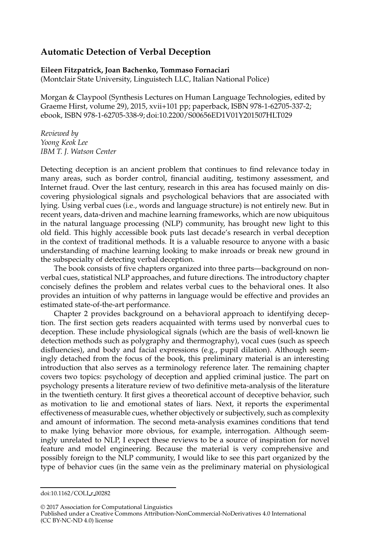## **Automatic Detection of Verbal Deception**

## **Eileen Fitzpatrick, Joan Bachenko, Tommaso Fornaciari** (Montclair State University, Linguistech LLC, Italian National Police)

Morgan & Claypool (Synthesis Lectures on Human Language Technologies, edited by Graeme Hirst, volume 29), 2015, xvii+101 pp; paperback, ISBN 978-1-62705-337-2; ebook, ISBN 978-1-62705-338-9; doi:10.2200/S00656ED1V01Y201507HLT029

*Reviewed by Yoong Keok Lee IBM T. J. Watson Center*

Detecting deception is an ancient problem that continues to find relevance today in many areas, such as border control, financial auditing, testimony assessment, and Internet fraud. Over the last century, research in this area has focused mainly on discovering physiological signals and psychological behaviors that are associated with lying. Using verbal cues (i.e., words and language structure) is not entirely new. But in recent years, data-driven and machine learning frameworks, which are now ubiquitous in the natural language processing (NLP) community, has brought new light to this old field. This highly accessible book puts last decade's research in verbal deception in the context of traditional methods. It is a valuable resource to anyone with a basic understanding of machine learning looking to make inroads or break new ground in the subspecialty of detecting verbal deception.

The book consists of five chapters organized into three parts—background on nonverbal cues, statistical NLP approaches, and future directions. The introductory chapter concisely defines the problem and relates verbal cues to the behavioral ones. It also provides an intuition of why patterns in language would be effective and provides an estimated state-of-the-art performance.

Chapter 2 provides background on a behavioral approach to identifying deception. The first section gets readers acquainted with terms used by nonverbal cues to deception. These include physiological signals (which are the basis of well-known lie detection methods such as polygraphy and thermography), vocal cues (such as speech disfluencies), and body and facial expressions (e.g., pupil dilation). Although seemingly detached from the focus of the book, this preliminary material is an interesting introduction that also serves as a terminology reference later. The remaining chapter covers two topics: psychology of deception and applied criminal justice. The part on psychology presents a literature review of two definitive meta-analysis of the literature in the twentieth century. It first gives a theoretical account of deceptive behavior, such as motivation to lie and emotional states of liars. Next, it reports the experimental effectiveness of measurable cues, whether objectively or subjectively, such as complexity and amount of information. The second meta-analysis examines conditions that tend to make lying behavior more obvious, for example, interrogation. Although seemingly unrelated to NLP, I expect these reviews to be a source of inspiration for novel feature and model engineering. Because the material is very comprehensive and possibly foreign to the NLP community, I would like to see this part organized by the type of behavior cues (in the same vein as the preliminary material on physiological

© 2017 Association for Computational Linguistics

doi:10.1162/COLI r 00282

Published under a Creative Commons Attribution-NonCommercial-NoDerivatives 4.0 International (CC BY-NC-ND 4.0) license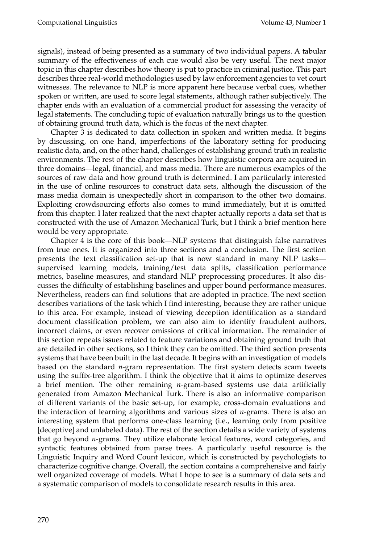signals), instead of being presented as a summary of two individual papers. A tabular summary of the effectiveness of each cue would also be very useful. The next major topic in this chapter describes how theory is put to practice in criminal justice. This part describes three real-world methodologies used by law enforcement agencies to vet court witnesses. The relevance to NLP is more apparent here because verbal cues, whether spoken or written, are used to score legal statements, although rather subjectively. The chapter ends with an evaluation of a commercial product for assessing the veracity of legal statements. The concluding topic of evaluation naturally brings us to the question of obtaining ground truth data, which is the focus of the next chapter.

Chapter 3 is dedicated to data collection in spoken and written media. It begins by discussing, on one hand, imperfections of the laboratory setting for producing realistic data, and, on the other hand, challenges of establishing ground truth in realistic environments. The rest of the chapter describes how linguistic corpora are acquired in three domains—legal, financial, and mass media. There are numerous examples of the sources of raw data and how ground truth is determined. I am particularly interested in the use of online resources to construct data sets, although the discussion of the mass media domain is unexpectedly short in comparison to the other two domains. Exploiting crowdsourcing efforts also comes to mind immediately, but it is omitted from this chapter. I later realized that the next chapter actually reports a data set that is constructed with the use of Amazon Mechanical Turk, but I think a brief mention here would be very appropriate.

Chapter 4 is the core of this book—NLP systems that distinguish false narratives from true ones. It is organized into three sections and a conclusion. The first section presents the text classification set-up that is now standard in many NLP tasks supervised learning models, training/test data splits, classification performance metrics, baseline measures, and standard NLP preprocessing procedures. It also discusses the difficulty of establishing baselines and upper bound performance measures. Nevertheless, readers can find solutions that are adopted in practice. The next section describes variations of the task which I find interesting, because they are rather unique to this area. For example, instead of viewing deception identification as a standard document classification problem, we can also aim to identify fraudulent authors, incorrect claims, or even recover omissions of critical information. The remainder of this section repeats issues related to feature variations and obtaining ground truth that are detailed in other sections, so I think they can be omitted. The third section presents systems that have been built in the last decade. It begins with an investigation of models based on the standard *n*-gram representation. The first system detects scam tweets using the suffix-tree algorithm. I think the objective that it aims to optimize deserves a brief mention. The other remaining *n*-gram-based systems use data artificially generated from Amazon Mechanical Turk. There is also an informative comparison of different variants of the basic set-up, for example, cross-domain evaluations and the interaction of learning algorithms and various sizes of *n*-grams. There is also an interesting system that performs one-class learning (i.e., learning only from positive [deceptive] and unlabeled data). The rest of the section details a wide variety of systems that go beyond *n*-grams. They utilize elaborate lexical features, word categories, and syntactic features obtained from parse trees. A particularly useful resource is the Linguistic Inquiry and Word Count lexicon, which is constructed by psychologists to characterize cognitive change. Overall, the section contains a comprehensive and fairly well organized coverage of models. What I hope to see is a summary of data sets and a systematic comparison of models to consolidate research results in this area.